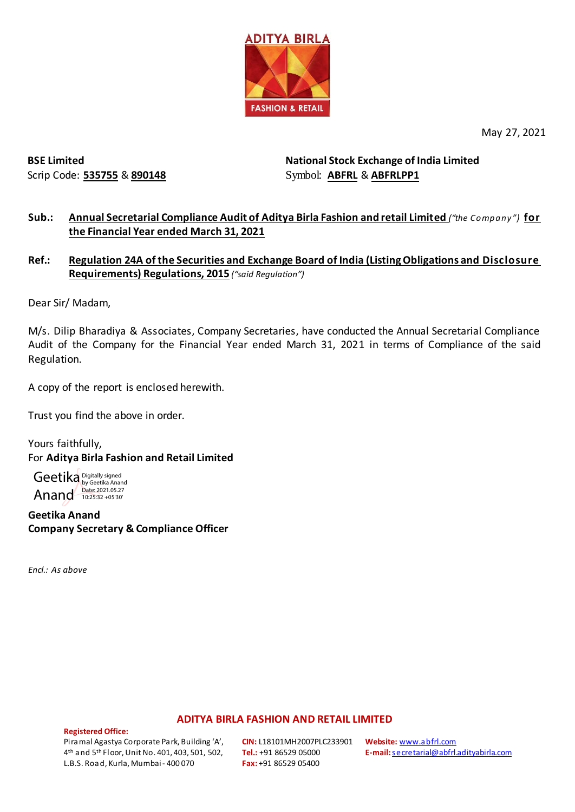

May 27, 2021

**BSE Limited** Scrip Code: **535755** & **890148** **National Stock Exchange of India Limited**  Symbol: **ABFRL** & **ABFRLPP1**

### **Sub.: Annual Secretarial Compliance Audit of Aditya Birla Fashion and retail Limited** *("the Company")* **for the Financial Year ended March 31, 2021**

### **Ref.: Regulation 24A of the Securities and Exchange Board of India (Listing Obligations and Disclosure Requirements) Regulations, 2015** *("said Regulation")*

Dear Sir/ Madam,

M/s. Dilip Bharadiya & Associates, Company Secretaries, have conducted the Annual Secretarial Compliance Audit of the Company for the Financial Year ended March 31, 2021 in terms of Compliance of the said Regulation.

A copy of the report is enclosed herewith.

Trust you find the above in order.

Yours faithfully, For **Aditya Birla Fashion and Retail Limited**

Geetika Digitally signed Anand by Geetika Anand<br>Date: 2021.05.27<br>10:25:32 +05'30'

**Geetika Anand Company Secretary & Compliance Officer**

*Encl.: As above*

#### **ADITYA BIRLA FASHION AND RETAIL LIMITED**

**Registered Office:** 

Piramal Agastya Corporate Park, Building 'A', 4th and 5th Floor, Unit No. 401, 403, 501, 502, L.B.S. Road, Kurla, Mumbai - 400 070

**CIN:** L18101MH2007PLC233901 **Tel.:** +91 86529 05000 **Fax:** +91 86529 05400

**Website:** [www.abfrl.com](http://www.abfrl.com/) **E-mail:**[secretarial@abfrl.adityabirla.com](mailto:secretarial@abfrl.adityabirla.com)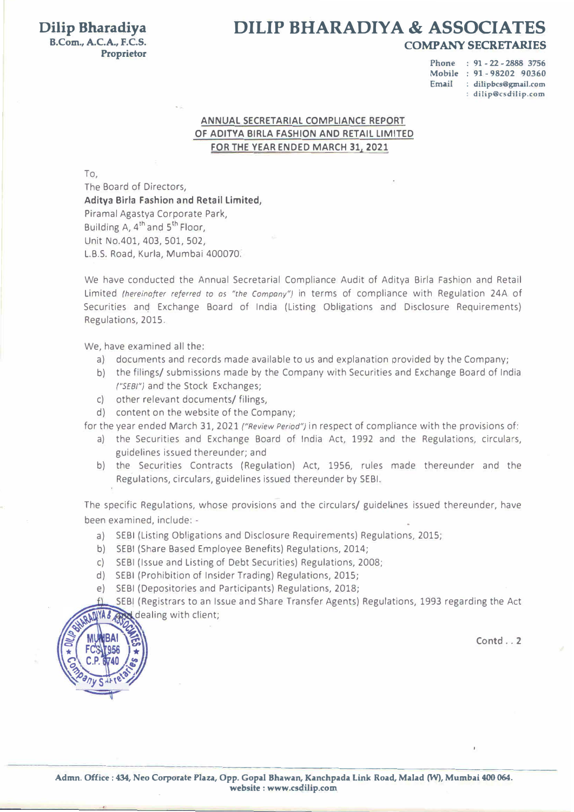## **Dilip Bharadiya DILIP BHARADIY A & ASSOCIATES B.Com., A.C.A., F.C.S. COMP ANY SECRET ARIES**

# **Proprietor**

-

## **ANNUAL SECRETARIAL COMPLIANCE REPORT OF AOITYA BIRLA FASHION ANO RETAIL LIMITED FOR THE VEAR ENDED MARCH 31, 2021**

To,

We have conducted the Annual Secretarial Compliance Audit of Aditya Birla Fashion and Retail Limited *(hereinafter referred to as "the Company")* in terms of compliance with Regulation 24A of Securities and Exchange Board of India (Listing Obligations and Disclosure Requirements)

The Board of Directors, **Aditya Birla Fashion and Retail Limited,**  Piramal Agastya Corporate Park, Building A, 4<sup>th</sup> and 5<sup>th</sup> Floor, Unit No.401, 403, 501, 502, L.B.S. Road, Kurla, Mumbai 400070.

•

- **Phone : 91 - 22 - 2888 3756**
- **Mobile : 91 - 98202 90360**
- **Email : dilipbcs@gmail.com**

**: dilip@csdilip.com** 

Regulations, 2015.

We, have examined all the:

SEBI (Registrars to an Issue and Share Transfer Agents) Regulations, 1993 regarding the Act YA& Guidealing with client;

- a) documents and records made available to us and explanation provided by the Company;
- b) the filings/ submissions made by the Company with Securities and Exchange Board of India *("SEBI")* and the Stock Exchanges;
- c) other relevant documents/ filings,
- d) content on the website of the Company;

for the year ended March 31, 2021 *("Review Period")* in respect of compliance with the provisions of:

- a) the Securities and Exchange Board of India Act, 1992 and the Regulations, circulars, guidelines issued thereunder; and
- b) the Securities Contracts (Regulation) Act, 1956, rules made thereunder and the • Regulations, circulars, guidelines issued thereunder by SEBI.

The specific Regulations, whose provisions and the circulars/ guidelines issued thereunder, have been examined, include: -

- a) SEBI (Listing Obligations and Disclosure Requirements) Regulations, 2015;
- b) SEBI (Share Based Employee Benefits) Regulations, 2014;
- c) SEBI (Issue and Listing of Debt Securities) Regulations, 2008;
- d) SEBI (Prohibition of Insider Trading) Regulations, 2015;
- e) SEBI (Depositories and Participants) Regulations, 2018;



I

**Admn. Office : 434, Neo Corporate Plaza, Opp. Gopal Bhawan, Kanchpada Link Road, Malad (W), Mumbai 400 064. website : www.csdilip.com** 

•